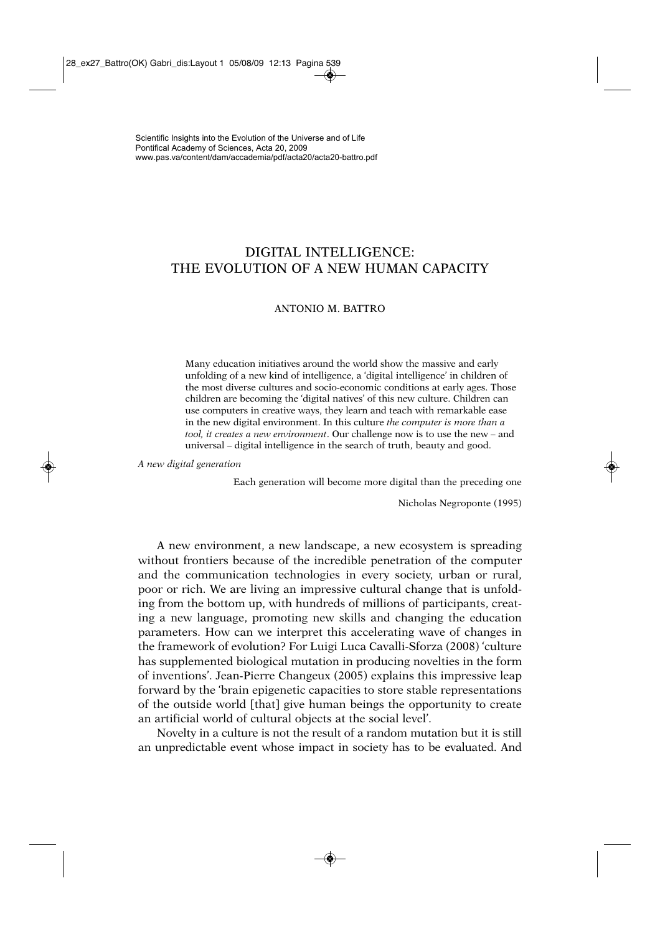# DIGITAL INTELLIGENCE: THE EVOLUTION OF A NEW HUMAN CAPACITY

# ANTONIO M. BATTRO

Many education initiatives around the world show the massive and early unfolding of a new kind of intelligence, a 'digital intelligence' in children of the most diverse cultures and socio-economic conditions at early ages. Those children are becoming the 'digital natives' of this new culture. Children can use computers in creative ways, they learn and teach with remarkable ease in the new digital environment. In this culture *the computer is more than a tool, it creates a new environment*. Our challenge now is to use the new – and universal – digital intelligence in the search of truth, beauty and good.

*A new digital generation*

Each generation will become more digital than the preceding one

Nicholas Negroponte (1995)

A new environment, a new landscape, a new ecosystem is spreading without frontiers because of the incredible penetration of the computer and the communication technologies in every society, urban or rural, poor or rich. We are living an impressive cultural change that is unfolding from the bottom up, with hundreds of millions of participants, creating a new language, promoting new skills and changing the education parameters. How can we interpret this accelerating wave of changes in the framework of evolution? For Luigi Luca Cavalli-Sforza (2008) 'culture has supplemented biological mutation in producing novelties in the form of inventions'. Jean-Pierre Changeux (2005) explains this impressive leap forward by the 'brain epigenetic capacities to store stable representations of the outside world [that] give human beings the opportunity to create an artificial world of cultural objects at the social level'.

Novelty in a culture is not the result of a random mutation but it is still an unpredictable event whose impact in society has to be evaluated. And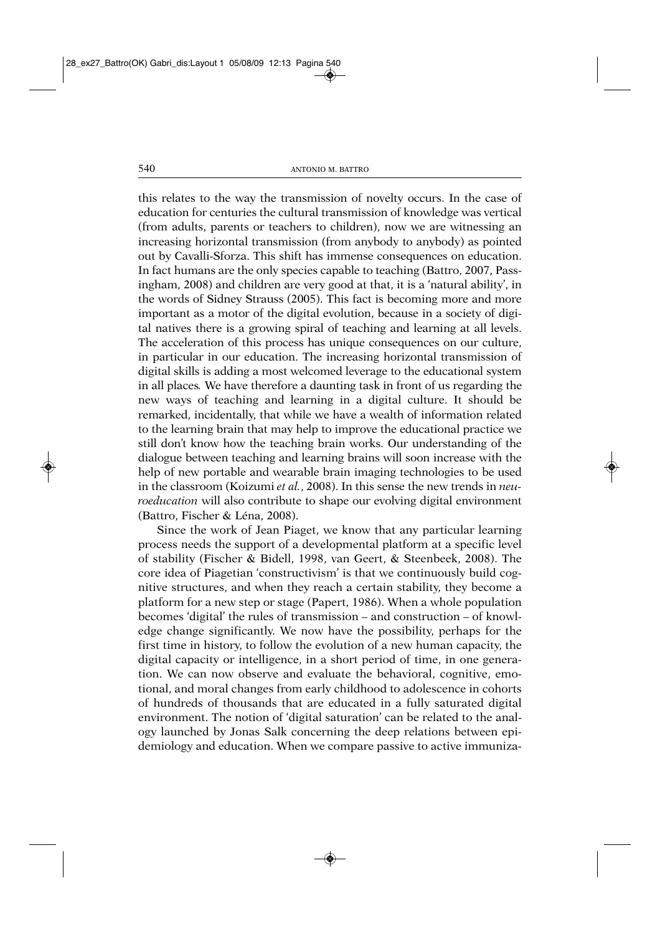this relates to the way the transmission of novelty occurs. In the case of education for centuries the cultural transmission of knowledge was vertical (from adults, parents or teachers to children), now we are witnessing an increasing horizontal transmission (from anybody to anybody) as pointed out by Cavalli-Sforza. This shift has immense consequences on education. In fact humans are the only species capable to teaching (Battro, 2007, Passingham, 2008) and children are very good at that, it is a 'natural ability', in the words of Sidney Strauss (2005). This fact is becoming more and more important as a motor of the digital evolution, because in a society of digital natives there is a growing spiral of teaching and learning at all levels. The acceleration of this process has unique consequences on our culture, in particular in our education. The increasing horizontal transmission of digital skills is adding a most welcomed leverage to the educational system in all places*.* We have therefore a daunting task in front of us regarding the new ways of teaching and learning in a digital culture. It should be remarked, incidentally, that while we have a wealth of information related to the learning brain that may help to improve the educational practice we still don't know how the teaching brain works. Our understanding of the dialogue between teaching and learning brains will soon increase with the help of new portable and wearable brain imaging technologies to be used in the classroom (Koizumi *et al.*, 2008). In this sense the new trends in *neuroeducation* will also contribute to shape our evolving digital environment (Battro, Fischer & Léna, 2008).

Since the work of Jean Piaget, we know that any particular learning process needs the support of a developmental platform at a specific level of stability (Fischer & Bidell, 1998, van Geert, & Steenbeek, 2008). The core idea of Piagetian 'constructivism' is that we continuously build cognitive structures, and when they reach a certain stability, they become a platform for a new step or stage (Papert, 1986). When a whole population becomes 'digital' the rules of transmission – and construction – of knowledge change significantly. We now have the possibility, perhaps for the first time in history, to follow the evolution of a new human capacity, the digital capacity or intelligence, in a short period of time, in one generation. We can now observe and evaluate the behavioral, cognitive, emotional, and moral changes from early childhood to adolescence in cohorts of hundreds of thousands that are educated in a fully saturated digital environment. The notion of 'digital saturation' can be related to the analogy launched by Jonas Salk concerning the deep relations between epidemiology and education. When we compare passive to active immuniza-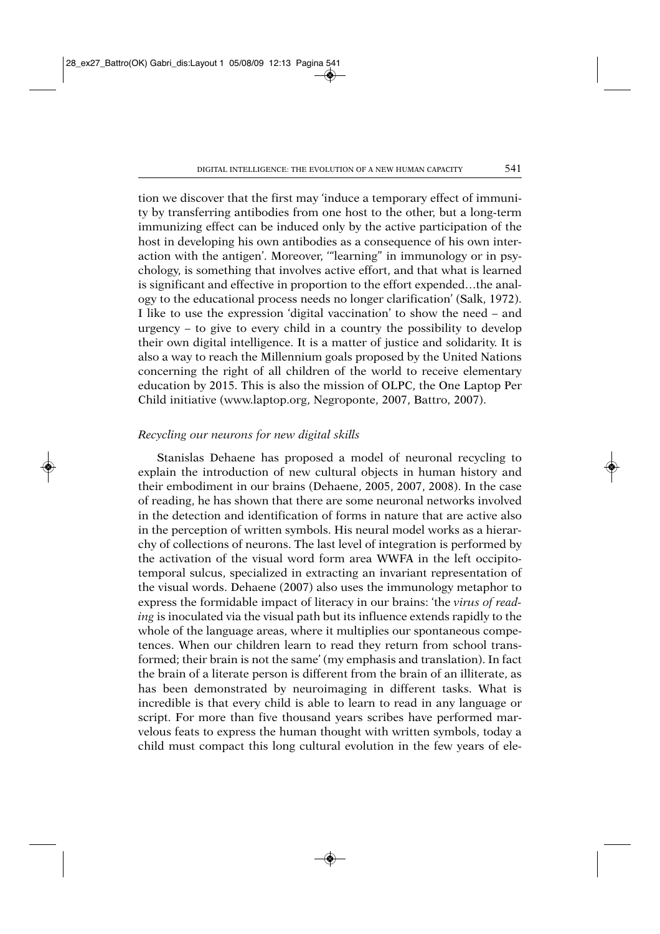tion we discover that the first may 'induce a temporary effect of immunity by transferring antibodies from one host to the other, but a long-term immunizing effect can be induced only by the active participation of the host in developing his own antibodies as a consequence of his own interaction with the antigen'. Moreover, '"learning" in immunology or in psychology, is something that involves active effort, and that what is learned is significant and effective in proportion to the effort expended…the analogy to the educational process needs no longer clarification' (Salk, 1972). I like to use the expression 'digital vaccination' to show the need – and urgency – to give to every child in a country the possibility to develop their own digital intelligence. It is a matter of justice and solidarity. It is also a way to reach the Millennium goals proposed by the United Nations concerning the right of all children of the world to receive elementary education by 2015. This is also the mission of OLPC, the One Laptop Per Child initiative (www.laptop.org, Negroponte, 2007, Battro, 2007).

### *Recycling our neurons for new digital skills*

Stanislas Dehaene has proposed a model of neuronal recycling to explain the introduction of new cultural objects in human history and their embodiment in our brains (Dehaene, 2005, 2007, 2008). In the case of reading, he has shown that there are some neuronal networks involved in the detection and identification of forms in nature that are active also in the perception of written symbols. His neural model works as a hierarchy of collections of neurons. The last level of integration is performed by the activation of the visual word form area WWFA in the left occipitotemporal sulcus, specialized in extracting an invariant representation of the visual words. Dehaene (2007) also uses the immunology metaphor to express the formidable impact of literacy in our brains: 'the *virus of reading* is inoculated via the visual path but its influence extends rapidly to the whole of the language areas, where it multiplies our spontaneous competences. When our children learn to read they return from school transformed; their brain is not the same' (my emphasis and translation). In fact the brain of a literate person is different from the brain of an illiterate, as has been demonstrated by neuroimaging in different tasks. What is incredible is that every child is able to learn to read in any language or script. For more than five thousand years scribes have performed marvelous feats to express the human thought with written symbols, today a child must compact this long cultural evolution in the few years of ele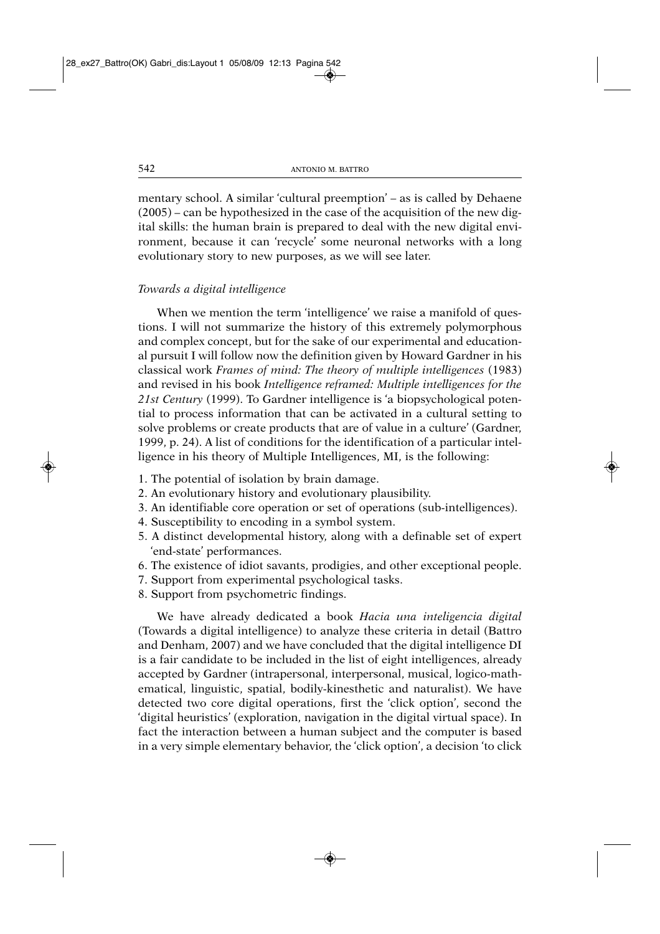mentary school. A similar 'cultural preemption' – as is called by Dehaene (2005) – can be hypothesized in the case of the acquisition of the new digital skills: the human brain is prepared to deal with the new digital environment, because it can 'recycle' some neuronal networks with a long evolutionary story to new purposes, as we will see later.

# *Towards a digital intelligence*

When we mention the term 'intelligence' we raise a manifold of questions. I will not summarize the history of this extremely polymorphous and complex concept, but for the sake of our experimental and educational pursuit I will follow now the definition given by Howard Gardner in his classical work *Frames of mind: The theory of multiple intelligences* (1983) and revised in his book *Intelligence reframed: Multiple intelligences for the 21st Century* (1999). To Gardner intelligence is 'a biopsychological potential to process information that can be activated in a cultural setting to solve problems or create products that are of value in a culture' (Gardner, 1999, p. 24). A list of conditions for the identification of a particular intelligence in his theory of Multiple Intelligences, MI, is the following:

- 1. The potential of isolation by brain damage.
- 2. An evolutionary history and evolutionary plausibility.
- 3. An identifiable core operation or set of operations (sub-intelligences).
- 4. Susceptibility to encoding in a symbol system.
- 5. A distinct developmental history, along with a definable set of expert 'end-state' performances.
- 6. The existence of idiot savants, prodigies, and other exceptional people.
- 7. Support from experimental psychological tasks.
- 8. Support from psychometric findings.

We have already dedicated a book *Hacia una inteligencia digital* (Towards a digital intelligence) to analyze these criteria in detail (Battro and Denham, 2007) and we have concluded that the digital intelligence DI is a fair candidate to be included in the list of eight intelligences, already accepted by Gardner (intrapersonal, interpersonal, musical, logico-mathematical, linguistic, spatial, bodily-kinesthetic and naturalist). We have detected two core digital operations, first the 'click option', second the 'digital heuristics' (exploration, navigation in the digital virtual space). In fact the interaction between a human subject and the computer is based in a very simple elementary behavior, the 'click option', a decision 'to click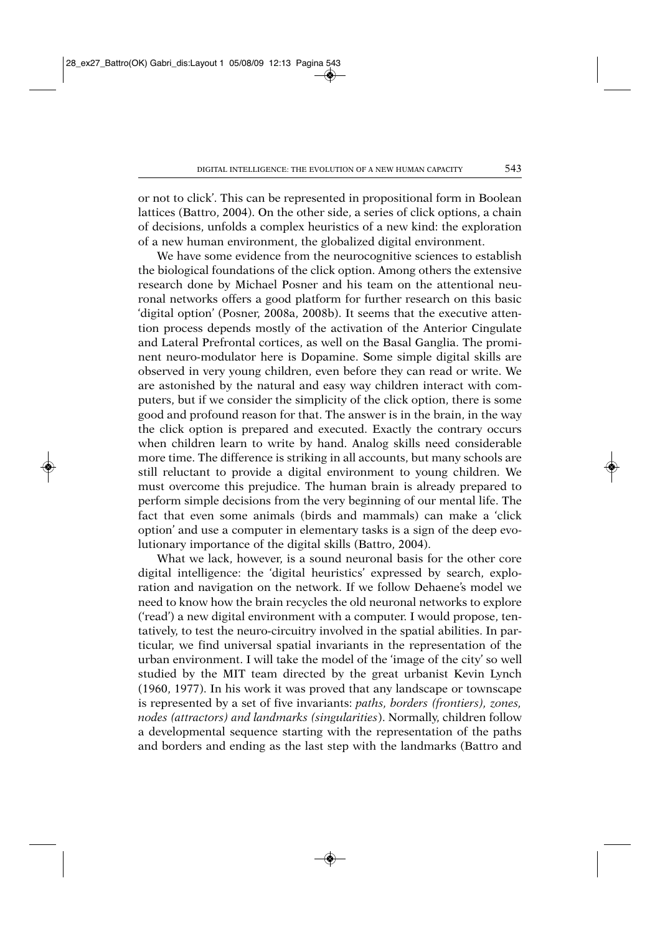or not to click'. This can be represented in propositional form in Boolean lattices (Battro, 2004). On the other side, a series of click options, a chain of decisions, unfolds a complex heuristics of a new kind: the exploration of a new human environment, the globalized digital environment.

We have some evidence from the neurocognitive sciences to establish the biological foundations of the click option. Among others the extensive research done by Michael Posner and his team on the attentional neuronal networks offers a good platform for further research on this basic 'digital option' (Posner, 2008a, 2008b). It seems that the executive attention process depends mostly of the activation of the Anterior Cingulate and Lateral Prefrontal cortices, as well on the Basal Ganglia. The prominent neuro-modulator here is Dopamine. Some simple digital skills are observed in very young children, even before they can read or write. We are astonished by the natural and easy way children interact with computers, but if we consider the simplicity of the click option, there is some good and profound reason for that. The answer is in the brain, in the way the click option is prepared and executed. Exactly the contrary occurs when children learn to write by hand. Analog skills need considerable more time. The difference is striking in all accounts, but many schools are still reluctant to provide a digital environment to young children. We must overcome this prejudice. The human brain is already prepared to perform simple decisions from the very beginning of our mental life. The fact that even some animals (birds and mammals) can make a 'click option' and use a computer in elementary tasks is a sign of the deep evolutionary importance of the digital skills (Battro, 2004).

What we lack, however, is a sound neuronal basis for the other core digital intelligence: the 'digital heuristics' expressed by search, exploration and navigation on the network. If we follow Dehaene's model we need to know how the brain recycles the old neuronal networks to explore ('read') a new digital environment with a computer. I would propose, tentatively, to test the neuro-circuitry involved in the spatial abilities. In particular, we find universal spatial invariants in the representation of the urban environment. I will take the model of the 'image of the city' so well studied by the MIT team directed by the great urbanist Kevin Lynch (1960, 1977). In his work it was proved that any landscape or townscape is represented by a set of five invariants: *paths, borders (frontiers), zones, nodes (attractors) and landmarks (singularities*). Normally, children follow a developmental sequence starting with the representation of the paths and borders and ending as the last step with the landmarks (Battro and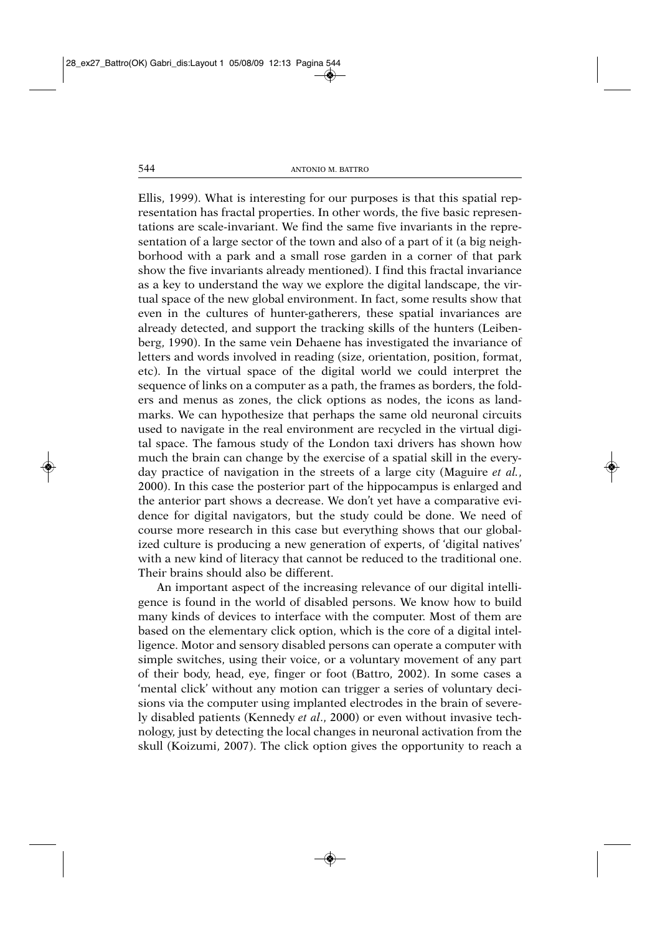Ellis, 1999). What is interesting for our purposes is that this spatial representation has fractal properties. In other words, the five basic representations are scale-invariant. We find the same five invariants in the representation of a large sector of the town and also of a part of it (a big neighborhood with a park and a small rose garden in a corner of that park show the five invariants already mentioned). I find this fractal invariance as a key to understand the way we explore the digital landscape, the virtual space of the new global environment. In fact, some results show that even in the cultures of hunter-gatherers, these spatial invariances are already detected, and support the tracking skills of the hunters (Leibenberg, 1990). In the same vein Dehaene has investigated the invariance of letters and words involved in reading (size, orientation, position, format, etc). In the virtual space of the digital world we could interpret the sequence of links on a computer as a path, the frames as borders, the folders and menus as zones, the click options as nodes, the icons as landmarks. We can hypothesize that perhaps the same old neuronal circuits used to navigate in the real environment are recycled in the virtual digital space. The famous study of the London taxi drivers has shown how much the brain can change by the exercise of a spatial skill in the everyday practice of navigation in the streets of a large city (Maguire *et al.*, 2000). In this case the posterior part of the hippocampus is enlarged and the anterior part shows a decrease. We don't yet have a comparative evidence for digital navigators, but the study could be done. We need of course more research in this case but everything shows that our globalized culture is producing a new generation of experts, of 'digital natives' with a new kind of literacy that cannot be reduced to the traditional one. Their brains should also be different.

An important aspect of the increasing relevance of our digital intelligence is found in the world of disabled persons. We know how to build many kinds of devices to interface with the computer. Most of them are based on the elementary click option, which is the core of a digital intelligence. Motor and sensory disabled persons can operate a computer with simple switches, using their voice, or a voluntary movement of any part of their body, head, eye, finger or foot (Battro, 2002). In some cases a 'mental click' without any motion can trigger a series of voluntary decisions via the computer using implanted electrodes in the brain of severely disabled patients (Kennedy *et al*., 2000) or even without invasive technology, just by detecting the local changes in neuronal activation from the skull (Koizumi, 2007). The click option gives the opportunity to reach a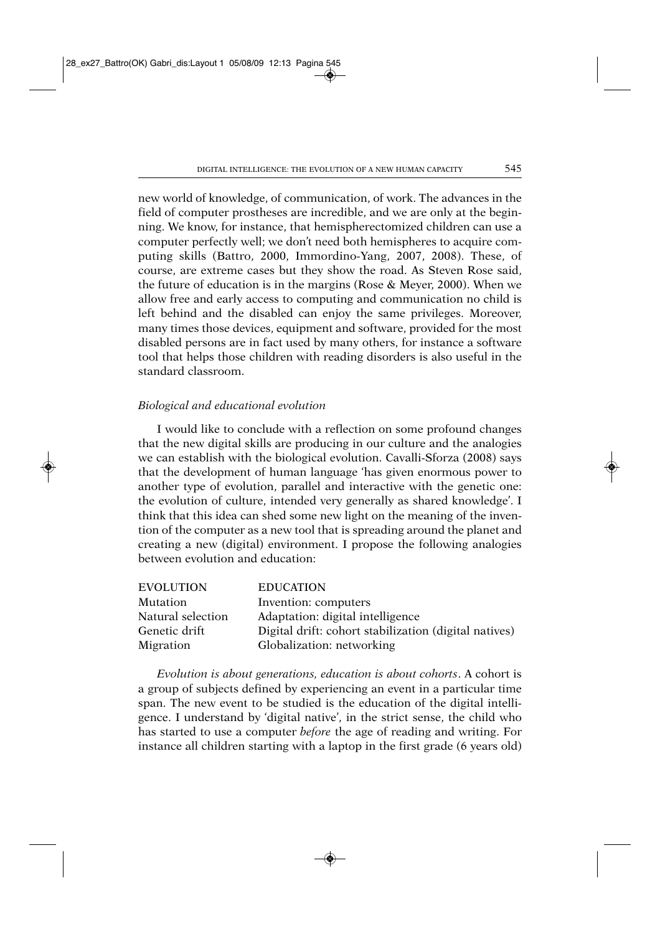new world of knowledge, of communication, of work. The advances in the field of computer prostheses are incredible, and we are only at the beginning. We know, for instance, that hemispherectomized children can use a computer perfectly well; we don't need both hemispheres to acquire computing skills (Battro, 2000, Immordino-Yang, 2007, 2008). These, of course, are extreme cases but they show the road. As Steven Rose said, the future of education is in the margins (Rose & Meyer, 2000). When we allow free and early access to computing and communication no child is left behind and the disabled can enjoy the same privileges. Moreover, many times those devices, equipment and software, provided for the most disabled persons are in fact used by many others, for instance a software tool that helps those children with reading disorders is also useful in the standard classroom.

### *Biological and educational evolution*

I would like to conclude with a reflection on some profound changes that the new digital skills are producing in our culture and the analogies we can establish with the biological evolution. Cavalli-Sforza (2008) says that the development of human language 'has given enormous power to another type of evolution, parallel and interactive with the genetic one: the evolution of culture, intended very generally as shared knowledge'. I think that this idea can shed some new light on the meaning of the invention of the computer as a new tool that is spreading around the planet and creating a new (digital) environment. I propose the following analogies between evolution and education:

| EVOLUTION         | <b>EDUCATION</b>                                      |
|-------------------|-------------------------------------------------------|
| Mutation          | Invention: computers                                  |
| Natural selection | Adaptation: digital intelligence                      |
| Genetic drift     | Digital drift: cohort stabilization (digital natives) |
| Migration         | Globalization: networking                             |

*Evolution is about generations, education is about cohorts*. A cohort is a group of subjects defined by experiencing an event in a particular time span. The new event to be studied is the education of the digital intelligence. I understand by 'digital native', in the strict sense, the child who has started to use a computer *before* the age of reading and writing. For instance all children starting with a laptop in the first grade (6 years old)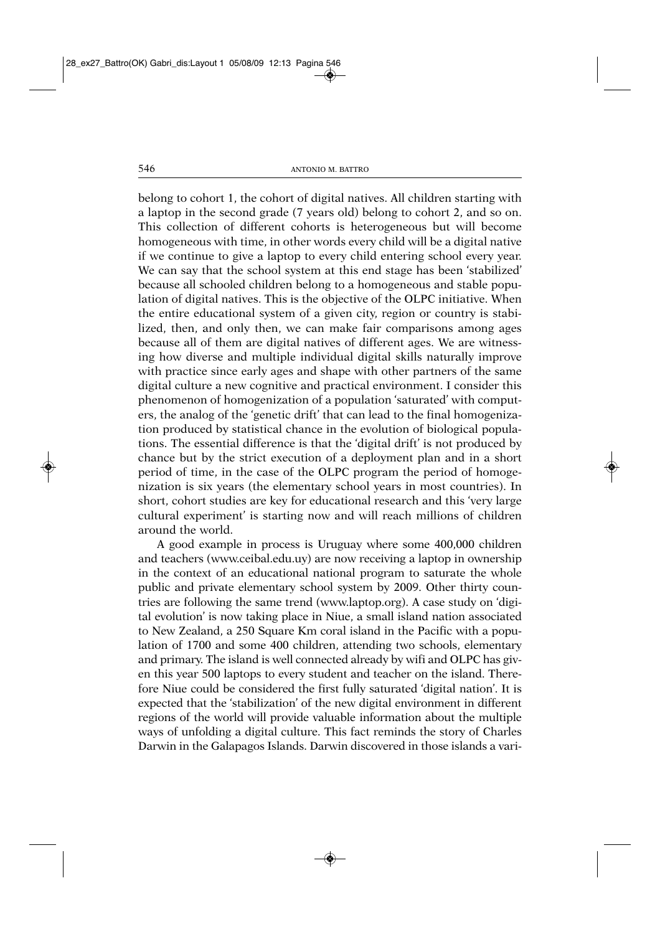belong to cohort 1, the cohort of digital natives. All children starting with a laptop in the second grade (7 years old) belong to cohort 2, and so on. This collection of different cohorts is heterogeneous but will become homogeneous with time, in other words every child will be a digital native if we continue to give a laptop to every child entering school every year. We can say that the school system at this end stage has been 'stabilized' because all schooled children belong to a homogeneous and stable population of digital natives. This is the objective of the OLPC initiative. When the entire educational system of a given city, region or country is stabilized, then, and only then, we can make fair comparisons among ages because all of them are digital natives of different ages. We are witnessing how diverse and multiple individual digital skills naturally improve with practice since early ages and shape with other partners of the same digital culture a new cognitive and practical environment. I consider this phenomenon of homogenization of a population 'saturated' with computers, the analog of the 'genetic drift' that can lead to the final homogenization produced by statistical chance in the evolution of biological populations. The essential difference is that the 'digital drift' is not produced by chance but by the strict execution of a deployment plan and in a short period of time, in the case of the OLPC program the period of homogenization is six years (the elementary school years in most countries). In short, cohort studies are key for educational research and this 'very large cultural experiment' is starting now and will reach millions of children around the world.

A good example in process is Uruguay where some 400,000 children and teachers (www.ceibal.edu.uy) are now receiving a laptop in ownership in the context of an educational national program to saturate the whole public and private elementary school system by 2009. Other thirty countries are following the same trend (www.laptop.org). A case study on 'digital evolution' is now taking place in Niue, a small island nation associated to New Zealand, a 250 Square Km coral island in the Pacific with a population of 1700 and some 400 children, attending two schools, elementary and primary. The island is well connected already by wifi and OLPC has given this year 500 laptops to every student and teacher on the island. Therefore Niue could be considered the first fully saturated 'digital nation'. It is expected that the 'stabilization' of the new digital environment in different regions of the world will provide valuable information about the multiple ways of unfolding a digital culture. This fact reminds the story of Charles Darwin in the Galapagos Islands. Darwin discovered in those islands a vari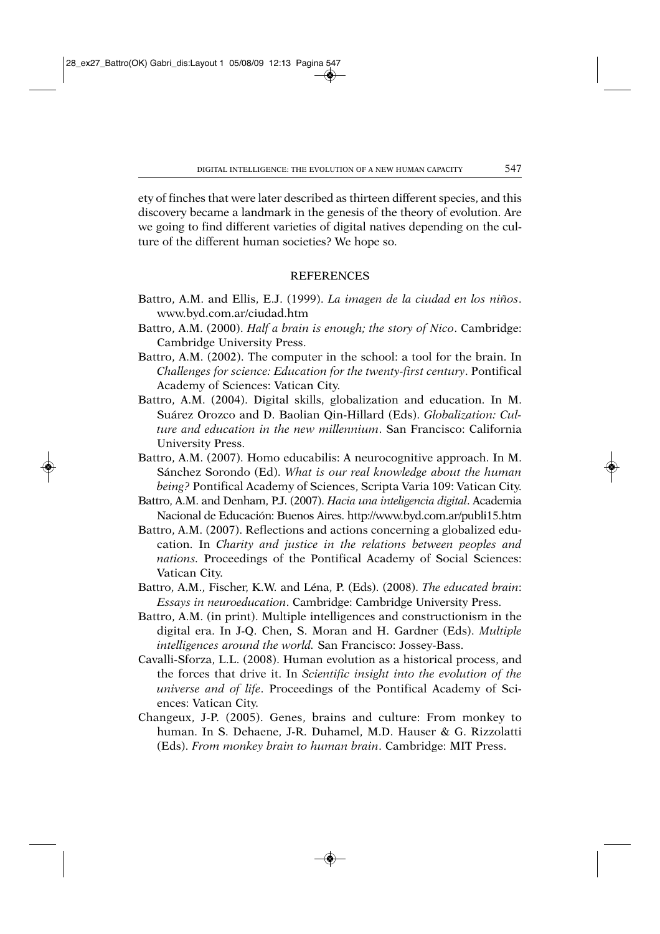ety of finches that were later described as thirteen different species, and this discovery became a landmark in the genesis of the theory of evolution. Are we going to find different varieties of digital natives depending on the culture of the different human societies? We hope so.

### REFERENCES

- Battro, A.M. and Ellis, E.J. (1999). *La imagen de la ciudad en los niños*. www.byd.com.ar/ciudad.htm
- Battro, A.M. (2000). *Half a brain is enough; the story of Nico*. Cambridge: Cambridge University Press.
- Battro, A.M. (2002). The computer in the school: a tool for the brain. In *Challenges for science: Education for the twenty-first century*. Pontifical Academy of Sciences: Vatican City.
- Battro, A.M. (2004). Digital skills, globalization and education. In M. Suárez Orozco and D. Baolian Qin-Hillard (Eds). *Globalization: Culture and education in the new millennium*. San Francisco: California University Press.
- Battro, A.M. (2007). Homo educabilis: A neurocognitive approach. In M. Sánchez Sorondo (Ed). *What is our real knowledge about the human being?* Pontifical Academy of Sciences, Scripta Varia 109: Vatican City.
- Battro, A.M. and Denham, P.J. (2007). *Hacia una inteligencia digital*. Academia Nacional de Educación: Buenos Aires. http://www.byd.com.ar/publi15.htm
- Battro, A.M. (2007). Reflections and actions concerning a globalized education. In *Charity and justice in the relations between peoples and nations.* Proceedings of the Pontifical Academy of Social Sciences: Vatican City.
- Battro, A.M., Fischer, K.W. and Léna, P. (Eds). (2008). *The educated brain*: *Essays in neuroeducation*. Cambridge: Cambridge University Press.
- Battro, A.M. (in print). Multiple intelligences and constructionism in the digital era. In J-Q. Chen, S. Moran and H. Gardner (Eds). *Multiple intelligences around the world.* San Francisco: Jossey-Bass.
- Cavalli-Sforza, L.L. (2008). Human evolution as a historical process, and the forces that drive it. In *Scientific insight into the evolution of the universe and of life*. Proceedings of the Pontifical Academy of Sciences: Vatican City.
- Changeux, J-P. (2005). Genes, brains and culture: From monkey to human. In S. Dehaene, J-R. Duhamel, M.D. Hauser & G. Rizzolatti (Eds). *From monkey brain to human brain*. Cambridge: MIT Press.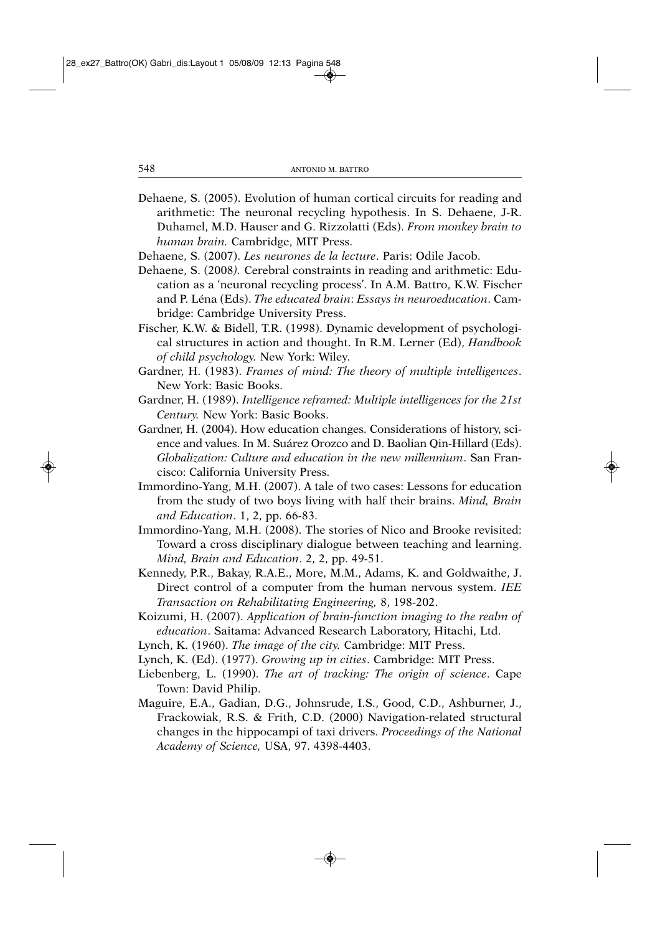- Dehaene, S. (2005). Evolution of human cortical circuits for reading and arithmetic: The neuronal recycling hypothesis. In S. Dehaene, J-R. Duhamel, M.D. Hauser and G. Rizzolatti (Eds). *From monkey brain to human brain.* Cambridge, MIT Press.
- Dehaene, S. (2007). *Les neurones de la lecture*. Paris: Odile Jacob.
- Dehaene, S. (2008*).* Cerebral constraints in reading and arithmetic: Education as a 'neuronal recycling process'. In A.M. Battro, K.W. Fischer and P. Léna (Eds). *The educated brain*: *Essays in neuroeducation*. Cambridge: Cambridge University Press.
- Fischer, K.W. & Bidell, T.R. (1998). Dynamic development of psychological structures in action and thought. In R.M. Lerner (Ed), *Handbook of child psychology.* New York: Wiley*.*
- Gardner, H. (1983). *Frames of mind: The theory of multiple intelligences*. New York: Basic Books.
- Gardner, H. (1989). *Intelligence reframed: Multiple intelligences for the 21st Century.* New York: Basic Books.
- Gardner, H. (2004). How education changes. Considerations of history, science and values. In M. Suárez Orozco and D. Baolian Qin-Hillard (Eds). *Globalization: Culture and education in the new millennium*. San Francisco: California University Press.
- Immordino-Yang, M.H. (2007). A tale of two cases: Lessons for education from the study of two boys living with half their brains. *Mind, Brain and Education*. 1, 2, pp. 66-83.
- Immordino-Yang, M.H. (2008). The stories of Nico and Brooke revisited: Toward a cross disciplinary dialogue between teaching and learning. *Mind, Brain and Education*. 2, 2, pp. 49-51.
- Kennedy, P.R., Bakay, R.A.E., More, M.M., Adams, K. and Goldwaithe, J. Direct control of a computer from the human nervous system. *IEE Transaction on Rehabilitating Engineering,* 8, 198-202.
- Koizumi, H. (2007). *Application of brain-function imaging to the realm of education*. Saitama: Advanced Research Laboratory, Hitachi, Ltd.
- Lynch, K. (1960). *The image of the city.* Cambridge: MIT Press.
- Lynch, K. (Ed). (1977). *Growing up in cities*. Cambridge: MIT Press.
- Liebenberg, L. (1990). *The art of tracking: The origin of science*. Cape Town: David Philip.
- Maguire, E.A., Gadian, D.G., Johnsrude, I.S., Good, C.D., Ashburner, J., Frackowiak, R.S. & Frith, C.D. (2000) Navigation-related structural changes in the hippocampi of taxi drivers. *Proceedings of the National Academy of Science,* USA, 97. 4398-4403.